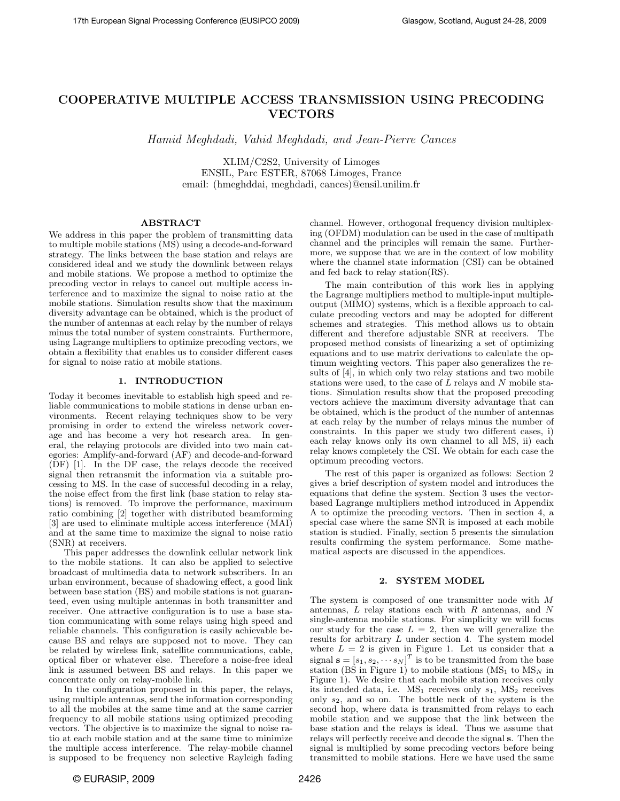# COOPERATIVE MULTIPLE ACCESS TRANSMISSION USING PRECODING VECTORS

Hamid Meghdadi, Vahid Meghdadi, and Jean-Pierre Cances

XLIM/C2S2, University of Limoges ENSIL, Parc ESTER, 87068 Limoges, France email: (hmeghddai, meghdadi, cances)@ensil.unilim.fr

# ABSTRACT

We address in this paper the problem of transmitting data to multiple mobile stations (MS) using a decode-and-forward strategy. The links between the base station and relays are considered ideal and we study the downlink between relays and mobile stations. We propose a method to optimize the precoding vector in relays to cancel out multiple access interference and to maximize the signal to noise ratio at the mobile stations. Simulation results show that the maximum diversity advantage can be obtained, which is the product of the number of antennas at each relay by the number of relays minus the total number of system constraints. Furthermore, using Lagrange multipliers to optimize precoding vectors, we obtain a flexibility that enables us to consider different cases for signal to noise ratio at mobile stations.

### 1. INTRODUCTION

Today it becomes inevitable to establish high speed and reliable communications to mobile stations in dense urban environments. Recent relaying techniques show to be very promising in order to extend the wireless network coverage and has become a very hot research area. In general, the relaying protocols are divided into two main categories: Amplify-and-forward (AF) and decode-and-forward (DF) [1]. In the DF case, the relays decode the received signal then retransmit the information via a suitable processing to MS. In the case of successful decoding in a relay, the noise effect from the first link (base station to relay stations) is removed. To improve the performance, maximum ratio combining [2] together with distributed beamforming [3] are used to eliminate multiple access interference (MAI) and at the same time to maximize the signal to noise ratio (SNR) at receivers.

This paper addresses the downlink cellular network link to the mobile stations. It can also be applied to selective broadcast of multimedia data to network subscribers. In an urban environment, because of shadowing effect, a good link between base station (BS) and mobile stations is not guaranteed, even using multiple antennas in both transmitter and receiver. One attractive configuration is to use a base station communicating with some relays using high speed and reliable channels. This configuration is easily achievable because BS and relays are supposed not to move. They can be related by wireless link, satellite communications, cable, optical fiber or whatever else. Therefore a noise-free ideal link is assumed between BS and relays. In this paper we concentrate only on relay-mobile link.

In the configuration proposed in this paper, the relays, using multiple antennas, send the information corresponding to all the mobiles at the same time and at the same carrier frequency to all mobile stations using optimized precoding vectors. The objective is to maximize the signal to noise ratio at each mobile station and at the same time to minimize the multiple access interference. The relay-mobile channel is supposed to be frequency non selective Rayleigh fading channel. However, orthogonal frequency division multiplexing (OFDM) modulation can be used in the case of multipath channel and the principles will remain the same. Furthermore, we suppose that we are in the context of low mobility where the channel state information (CSI) can be obtained and fed back to relay station(RS).

The main contribution of this work lies in applying the Lagrange multipliers method to multiple-input multipleoutput (MIMO) systems, which is a flexible approach to calculate precoding vectors and may be adopted for different schemes and strategies. This method allows us to obtain different and therefore adjustable SNR at receivers. The proposed method consists of linearizing a set of optimizing equations and to use matrix derivations to calculate the optimum weighting vectors. This paper also generalizes the results of [4], in which only two relay stations and two mobile stations were used, to the case of  $\tilde{L}$  relays and N mobile stations. Simulation results show that the proposed precoding vectors achieve the maximum diversity advantage that can be obtained, which is the product of the number of antennas at each relay by the number of relays minus the number of constraints. In this paper we study two different cases, i) each relay knows only its own channel to all MS, ii) each relay knows completely the CSI. We obtain for each case the optimum precoding vectors.

The rest of this paper is organized as follows: Section 2 gives a brief description of system model and introduces the equations that define the system. Section 3 uses the vectorbased Lagrange multipliers method introduced in Appendix A to optimize the precoding vectors. Then in section 4, a special case where the same SNR is imposed at each mobile station is studied. Finally, section 5 presents the simulation results confirming the system performance. Some mathematical aspects are discussed in the appendices.

#### 2. SYSTEM MODEL

The system is composed of one transmitter node with M antennas, L relay stations each with R antennas, and N single-antenna mobile stations. For simplicity we will focus our study for the case  $L = 2$ , then we will generalize the results for arbitrary  $L$  under section 4. The system model where  $L = 2$  is given in Figure 1. Let us consider that a signal  $\mathbf{s} = [s_1, s_2, \cdots s_N]^T$  is to be transmitted from the base station (BS in Figure 1) to mobile stations ( $MS<sub>1</sub>$  to  $MS<sub>N</sub>$  in Figure 1). We desire that each mobile station receives only its intended data, i.e.  $MS_1$  receives only  $s_1$ ,  $MS_2$  receives only  $s_2$ , and so on. The bottle neck of the system is the second hop, where data is transmitted from relays to each mobile station and we suppose that the link between the base station and the relays is ideal. Thus we assume that relays will perfectly receive and decode the signal s. Then the signal is multiplied by some precoding vectors before being transmitted to mobile stations. Here we have used the same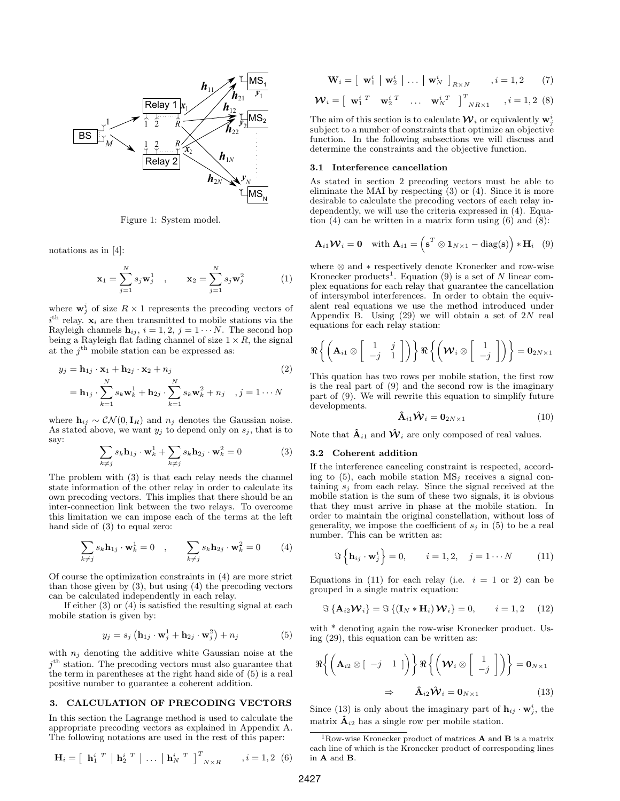

Figure 1: System model.

notations as in [4]:

$$
\mathbf{x}_1 = \sum_{j=1}^N s_j \mathbf{w}_j^1 , \qquad \mathbf{x}_2 = \sum_{j=1}^N s_j \mathbf{w}_j^2
$$
 (1)

where  $\mathbf{w}_j^i$  of size  $R \times 1$  represents the precoding vectors of  $i<sup>th</sup>$  relay.  $x<sub>i</sub>$  are then transmitted to mobile stations via the Rayleigh channels  $h_{ij}$ ,  $i = 1, 2, j = 1 \cdots N$ . The second hop being a Rayleigh flat fading channel of size  $1 \times R$ , the signal at the  $j^{\text{th}}$  mobile station can be expressed as:

$$
y_j = \mathbf{h}_{1j} \cdot \mathbf{x}_1 + \mathbf{h}_{2j} \cdot \mathbf{x}_2 + n_j
$$
  
=  $\mathbf{h}_{1j} \cdot \sum_{k=1}^N s_k \mathbf{w}_k^1 + \mathbf{h}_{2j} \cdot \sum_{k=1}^N s_k \mathbf{w}_k^2 + n_j$  ,  $j = 1 \cdots N$ 

where  $h_{ij} \sim \mathcal{CN}(0, I_R)$  and  $n_j$  denotes the Gaussian noise. As stated above, we want  $y_j$  to depend only on  $s_j$ , that is to say:

$$
\sum_{k \neq j} s_k \mathbf{h}_{1j} \cdot \mathbf{w}_k^1 + \sum_{k \neq j} s_k \mathbf{h}_{2j} \cdot \mathbf{w}_k^2 = 0 \tag{3}
$$

The problem with (3) is that each relay needs the channel state information of the other relay in order to calculate its own precoding vectors. This implies that there should be an inter-connection link between the two relays. To overcome this limitation we can impose each of the terms at the left hand side of (3) to equal zero:

$$
\sum_{k \neq j} s_k \mathbf{h}_{1j} \cdot \mathbf{w}_k^1 = 0 \quad , \qquad \sum_{k \neq j} s_k \mathbf{h}_{2j} \cdot \mathbf{w}_k^2 = 0 \tag{4}
$$

Of course the optimization constraints in (4) are more strict than those given by  $(3)$ , but using  $(4)$  the precoding vectors can be calculated independently in each relay.

If either (3) or (4) is satisfied the resulting signal at each mobile station is given by:

$$
y_j = s_j \left( \mathbf{h}_{1j} \cdot \mathbf{w}_j^1 + \mathbf{h}_{2j} \cdot \mathbf{w}_j^2 \right) + n_j \tag{5}
$$

with  $n_j$  denoting the additive white Gaussian noise at the  $j<sup>th</sup>$  station. The precoding vectors must also guarantee that the term in parentheses at the right hand side of (5) is a real positive number to guarantee a coherent addition.

# 3. CALCULATION OF PRECODING VECTORS

In this section the Lagrange method is used to calculate the appropriate precoding vectors as explained in Appendix A. The following notations are used in the rest of this paper:

$$
\mathbf{H}_{i} = \left[ \begin{array}{c|c|c|c} \mathbf{h}_{1}^{i} & \mathbf{I}^{\mathbf{I}} & \mathbf{h}_{2}^{i} & \mathbf{I}^{\mathbf{I}} \end{array} \right] \dots \left[ \begin{array}{c|c|c} \mathbf{h}_{N}^{i} & \mathbf{I}^{\mathbf{T}} & \mathbf{I}^{\mathbf{T}} & \mathbf{I} \end{array} \right]^{T} \dots, i = 1, 2 \quad (6)
$$

$$
\mathbf{W}_{i} = \left[ \begin{array}{c|c|c|c} \mathbf{w}_{1}^{i} & \mathbf{w}_{2}^{i} & \dots & \mathbf{w}_{N}^{i} \end{array} \right]_{R \times N} , i = 1, 2 \qquad (7)
$$

$$
\mathbf{W}_{i} = \begin{bmatrix} \mathbf{w}_{1}^{i}{}^T & \mathbf{w}_{2}^{i}{}^T & \dots & \mathbf{w}_{N}^{i}{}^T \end{bmatrix}^{T}{}_{NR \times 1} \quad , i = 1, 2 \tag{8}
$$

The aim of this section is to calculate  $\mathcal{W}_i$  or equivalently  $\mathbf{w}_j^i$ subject to a number of constraints that optimize an objective function. In the following subsections we will discuss and determine the constraints and the objective function.

### 3.1 Interference cancellation

As stated in section 2 precoding vectors must be able to eliminate the MAI by respecting (3) or (4). Since it is more desirable to calculate the precoding vectors of each relay independently, we will use the criteria expressed in (4). Equation  $(4)$  can be written in a matrix form using  $(6)$  and  $(8)$ :

$$
\mathbf{A}_{i1}\mathbf{W}_{i}=\mathbf{0} \text{ with } \mathbf{A}_{i1}=\left(\mathbf{s}^{T} \otimes \mathbf{1}_{N\times 1}-\text{diag}(\mathbf{s})\right) * \mathbf{H}_{i} \quad (9)
$$

where ⊗ and ∗ respectively denote Kronecker and row-wise Kronecker products<sup>1</sup>. Equation (9) is a set of N linear complex equations for each relay that guarantee the cancellation of intersymbol interferences. In order to obtain the equivalent real equations we use the method introduced under Appendix B. Using  $(29)$  we will obtain a set of  $2N$  real equations for each relay station:

$$
\Re\left\{ \left( \mathbf{A}_{i1} \otimes \begin{bmatrix} 1 & j \\ -j & 1 \end{bmatrix} \right) \right\} \Re\left\{ \left( \mathbf{W}_{i} \otimes \begin{bmatrix} 1 \\ -j \end{bmatrix} \right) \right\} = \mathbf{0}_{2N \times 1}
$$

This quation has two rows per mobile station, the first row is the real part of (9) and the second row is the imaginary part of (9). We will rewrite this equation to simplify future developments.

$$
\hat{\mathbf{A}}_{i1}\hat{\mathbf{W}}_i = \mathbf{0}_{2N\times 1} \tag{10}
$$

Note that  $\hat{\mathbf{A}}_{i1}$  and  $\hat{\mathbf{W}}_i$  are only composed of real values.

#### 3.2 Coherent addition

If the interference canceling constraint is respected, according to  $(5)$ , each mobile station  $MS_i$  receives a signal containing  $s_i$  from each relay. Since the signal received at the mobile station is the sum of these two signals, it is obvious that they must arrive in phase at the mobile station. In order to maintain the original constellation, without loss of generality, we impose the coefficient of  $s_j$  in (5) to be a real number. This can be written as:

$$
\Im\left\{\mathbf{h}_{ij}\cdot\mathbf{w}_j^i\right\}=0, \qquad i=1,2, \quad j=1\cdots N \tag{11}
$$

Equations in (11) for each relay (i.e.  $i = 1$  or 2) can be grouped in a single matrix equation:

$$
\Im\left\{\mathbf{A}_{i2}\mathbf{W}_i\right\} = \Im\left\{\left(\mathbf{I}_N \ast \mathbf{H}_i\right) \mathbf{W}_i\right\} = 0, \qquad i = 1, 2 \quad (12)
$$

with \* denoting again the row-wise Kronecker product. Using (29), this equation can be written as:

$$
\Re\bigg\{\bigg(\mathbf{A}_{i2}\otimes\begin{bmatrix} -j & 1 \end{bmatrix}\bigg\}\Re\bigg\{\bigg(\mathbf{W}_i\otimes\begin{bmatrix} 1 \\ -j \end{bmatrix}\bigg)\bigg\} = \mathbf{0}_{N\times 1}
$$
  

$$
\Rightarrow \quad \hat{\mathbf{A}}_{i2}\hat{\mathbf{W}}_i = \mathbf{0}_{N\times 1} \tag{13}
$$

Since (13) is only about the imaginary part of  $\mathbf{h}_{ij} \cdot \mathbf{w}_j^i$ , the matrix  $\hat{A}_{i2}$  has a single row per mobile station.

 $^1{\rm Row\text{-}wise}$ Kronecker product of matrices  ${\bf A}$  and  ${\bf B}$  is a matrix each line of which is the Kronecker product of corresponding lines in A and B.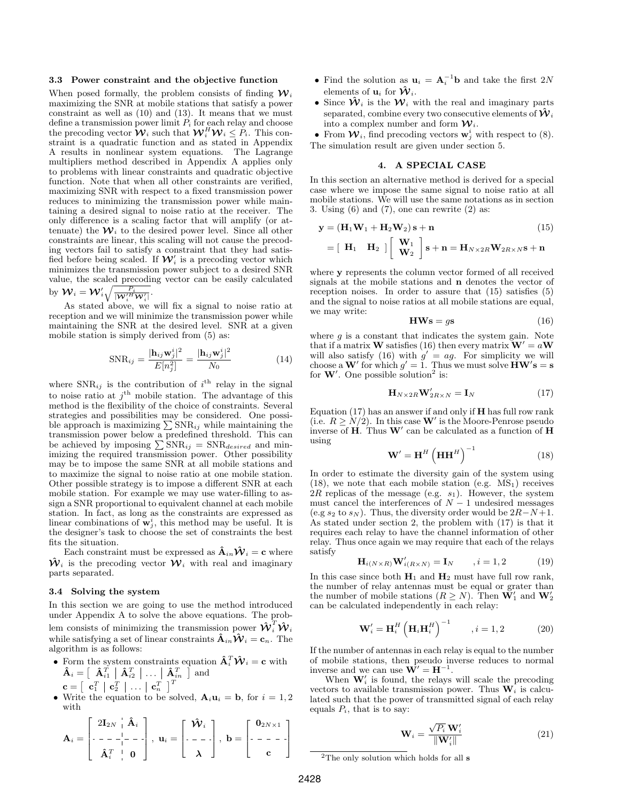### 3.3 Power constraint and the objective function

When posed formally, the problem consists of finding  $\mathcal{W}_i$ maximizing the SNR at mobile stations that satisfy a power constraint as well as (10) and (13). It means that we must define a transmission power limit  $P_i$  for each relay and choose the precoding vector  $\mathbf{\hat{W}}_i$  such that  $\mathbf{\mathcal{W}}_i^H \mathbf{\mathcal{W}}_i \leq \tilde{P}_i$ . This constraint is a quadratic function and as stated in Appendix A results in nonlinear system equations. The Lagrange multipliers method described in Appendix A applies only to problems with linear constraints and quadratic objective function. Note that when all other constraints are verified, maximizing SNR with respect to a fixed transmission power reduces to minimizing the transmission power while maintaining a desired signal to noise ratio at the receiver. The only difference is a scaling factor that will amplify (or attenuate) the  $\mathcal{W}_i$  to the desired power level. Since all other constraints are linear, this scaling will not cause the precoding vectors fail to satisfy a constraint that they had satisfied before being scaled. If  $\mathcal{W}'_i$  is a precoding vector which minimizes the transmission power subject to a desired SNR value, the scaled precoding vector can be easily calculated by  ${\cal W}_i = {\cal W}_i' \sqrt{\frac{P_i}{|{\cal W}_i'^H{\cal W}_i'|}}.$ 

As stated above, we will fix a signal to noise ratio at reception and we will minimize the transmission power while maintaining the SNR at the desired level. SNR at a given mobile station is simply derived from (5) as:

$$
\text{SNR}_{ij} = \frac{|\mathbf{h}_{ij}\mathbf{w}_j^i|^2}{E[n_j^2]} = \frac{|\mathbf{h}_{ij}\mathbf{w}_j^i|^2}{N_0}
$$
(14)

where  $SNR_{ij}$  is the contribution of  $i^{\text{th}}$  relay in the signal to noise ratio at  $j^{\text{th}}$  mobile station. The advantage of this method is the flexibility of the choice of constraints. Several strategies and possibilities may be considered. One possible approach is maximizing  $\sum$ SNR<sub>ij</sub> while maintaining the transmission power below a predefined threshold. This can be achieved by imposing  $\sum_{i} SNR_{ij} = SNR_{desired}$  and minimizing the required transmission power. Other possibility may be to impose the same SNR at all mobile stations and to maximize the signal to noise ratio at one mobile station. Other possible strategy is to impose a different SNR at each mobile station. For example we may use water-filling to assign a SNR proportional to equivalent channel at each mobile station. In fact, as long as the constraints are expressed as linear combinations of  $\mathbf{w}_j^i$ , this method may be useful. It is the designer's task to choose the set of constraints the best fits the situation.

Each constraint must be expressed as  $\mathbf{\hat{A}}_{in}\mathbf{\hat{W}}_i = \mathbf{c}$  where  $\hat{\mathcal{W}}_i$  is the precoding vector  $\mathcal{W}_i$  with real and imaginary parts separated.

#### 3.4 Solving the system

In this section we are going to use the method introduced under Appendix A to solve the above equations. The problem consists of minimizing the transmission power  $\boldsymbol{\hat{\mathcal{W}}}^T_i \boldsymbol{\hat{W}}_i$ while satisfying a set of linear constraints  $\hat{\mathbf{A}}_{in}\hat{\mathbf{W}}_i = \mathbf{c}_n$ . The algorithm is as follows:

- Form the system constraints equation  $\mathbf{\hat{A}}_i^T \mathbf{\hat{W}}_i = \mathbf{c}$  with  $\mathbf{\hat{A}}_{i}=\left[\begin{array}{c|c} \mathbf{\hat{A}}_{i1}^{T} & \mathbf{\hat{A}}_{i2}^{T} & \dots & \mathbf{\hat{A}}_{in}^{T}\end{array}\right] \text { and }$  $\mathbf{c} = \left[ \begin{array}{c|c|c} \mathbf{c}_1^T & \mathbf{c}_2^T & \dots & \mathbf{c}_n^T \end{array} \right]^T$
- Write the equation to be solved,  $\mathbf{A}_i \mathbf{u}_i = \mathbf{b}$ , for  $i = 1, 2$ with

$$
\mathbf{A}_{i} = \begin{bmatrix} 2\mathbf{I}_{2N} & \hat{\mathbf{A}}_{i} \\ - & - & - \begin{bmatrix} - & - \\ 0 & 0 \end{bmatrix}, \ \mathbf{u}_{i} = \begin{bmatrix} \mathbf{\hat{W}}_{i} \\ - & - & - \end{bmatrix}, \ \mathbf{b} = \begin{bmatrix} \mathbf{0}_{2N \times 1} \\ - & - & - \end{bmatrix}
$$

- Find the solution as  $\mathbf{u}_i = \mathbf{A}_i^{-1} \mathbf{b}$  and take the first 2N elements of  $\mathbf{u}_i$  for  $\hat{\mathbf{W}}_i$ .
- Since  $\hat{\mathcal{W}}_i$  is the  $\mathcal{W}_i$  with the real and imaginary parts separated, combine every two consecutive elements of  $\mathbf{W}_i$ into a complex number and form  $\mathcal{W}_i$ .

• From  $\mathcal{W}_i$ , find precoding vectors  $\mathbf{w}_j^i$  with respect to (8). The simulation result are given under section 5.

# 4. A SPECIAL CASE

In this section an alternative method is derived for a special case where we impose the same signal to noise ratio at all mobile stations. We will use the same notations as in section 3. Using  $(6)$  and  $(7)$ , one can rewrite  $(2)$  as:

$$
\mathbf{y} = (\mathbf{H}_1 \mathbf{W}_1 + \mathbf{H}_2 \mathbf{W}_2) \mathbf{s} + \mathbf{n}
$$
(15)  
= [\mathbf{H}\_1 \quad \mathbf{H}\_2] [\begin{bmatrix} \mathbf{W}\_1 \\ \mathbf{W}\_2 \end{bmatrix} \mathbf{s} + \mathbf{n} = \mathbf{H}\_{N \times 2R} \mathbf{W}\_{2R \times N} \mathbf{s} + \mathbf{n}

where y represents the column vector formed of all received signals at the mobile stations and n denotes the vector of reception noises. In order to assure that (15) satisfies (5) and the signal to noise ratios at all mobile stations are equal, we may write:

$$
HWs = gs
$$
 (16)

where  $g$  is a constant that indicates the system gain. Note that if a matrix **W** satisfies (16) then every matrix  $W' = aW$ will also satisfy (16) with  $g' = ag$ . For simplicity we will choose a W' for which  $g' = 1$ . Thus we must solve  $\angle$  HW's = s for  $W'$ . One possible solution<sup>2</sup> is:

$$
\mathbf{H}_{N\times 2R}\mathbf{W}_{2R\times N}' = \mathbf{I}_N \tag{17}
$$

Equation  $(17)$  has an answer if and only if  $H$  has full row rank (i.e.  $R \ge N/2$ ). In this case **W**' is the Moore-Penrose pseudo inverse of  $\mathbf{H}$ . Thus  $\mathbf{W}'$  can be calculated as a function of  $\mathbf{H}$ using

$$
\mathbf{W}' = \mathbf{H}^H \left( \mathbf{H} \mathbf{H}^H \right)^{-1} \tag{18}
$$

In order to estimate the diversity gain of the system using  $(18)$ , we note that each mobile station (e.g.  $MS_1$ ) receives  $2R$  replicas of the message (e.g.  $s_1$ ). However, the system must cancel the interferences of  $N-1$  undesired messages (e.g  $s_2$  to  $s_N$ ). Thus, the diversity order would be  $2R-N+1$ . As stated under section 2, the problem with (17) is that it requires each relay to have the channel information of other relay. Thus once again we may require that each of the relays satisfy

$$
\mathbf{H}_{i(N\times R)}\mathbf{W}'_{i(R\times N)} = \mathbf{I}_N, \qquad i = 1, 2 \tag{19}
$$

In this case since both  $H_1$  and  $H_2$  must have full row rank, the number of relay antennas must be equal or grater than the number of mobile stations  $(R \geq N)$ . Then  $\mathbf{W}'_1$  and  $\mathbf{W}'_2$ can be calculated independently in each relay:

$$
\mathbf{W}'_i = \mathbf{H}_i^H \left( \mathbf{H}_i \mathbf{H}_i^H \right)^{-1}, \quad i = 1, 2 \tag{20}
$$

If the number of antennas in each relay is equal to the number of mobile stations, then pseudo inverse reduces to normal inverse and we can use  $\mathbf{W}' = \mathbf{H}^{-1}$ .

When  $\mathbf{W}'_i$  is found, the relays will scale the precoding vectors to available transmission power. Thus  $\mathbf{W}_i$  is calculated such that the power of transmitted signal of each relay equals  $P_i$ , that is to say:

$$
\mathbf{W}_{i} = \frac{\sqrt{P_{i}} \mathbf{W}_{i}'}{\|\mathbf{W}_{i}'\|}
$$
(21)

 $^2 \mathrm{The}$  only solution which holds for all  $\bf s$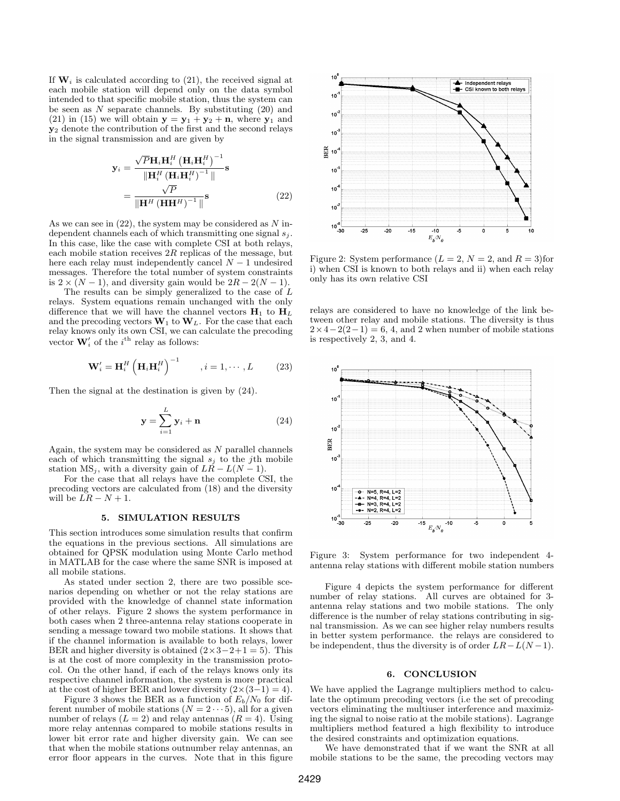If  $W_i$  is calculated according to (21), the received signal at each mobile station will depend only on the data symbol intended to that specific mobile station, thus the system can be seen as  $N$  separate channels. By substituting  $(20)$  and (21) in (15) we will obtain  $y = y_1 + y_2 + n$ , where  $y_1$  and y<sup>2</sup> denote the contribution of the first and the second relays in the signal transmission and are given by

$$
\mathbf{y}_{i} = \frac{\sqrt{P}\mathbf{H}_{i}\mathbf{H}_{i}^{H} \left(\mathbf{H}_{i}\mathbf{H}_{i}^{H}\right)^{-1}}{\|\mathbf{H}_{i}^{H}\left(\mathbf{H}_{i}\mathbf{H}_{i}^{H}\right)^{-1}\|} \mathbf{s}
$$

$$
= \frac{\sqrt{P}}{\|\mathbf{H}^{H}\left(\mathbf{H}\mathbf{H}^{H}\right)^{-1}\|} \mathbf{s}
$$
(22)

As we can see in  $(22)$ , the system may be considered as N independent channels each of which transmitting one signal  $s_j$ . In this case, like the case with complete CSI at both relays, each mobile station receives  $2R$  replicas of the message, but here each relay must independently cancel  $N-1$  undesired messages. Therefore the total number of system constraints is  $2 \times (N-1)$ , and diversity gain would be  $2R - 2(N-1)$ .

The results can be simply generalized to the case of L relays. System equations remain unchanged with the only difference that we will have the channel vectors  $H_1$  to  $H_L$ and the precoding vectors  $\mathbf{W}_1$  to  $\mathbf{W}_L$ . For the case that each relay knows only its own CSI, we can calculate the precoding vector  $\mathbf{W}'_i$  of the  $i^{\text{th}}$  relay as follows:

$$
\mathbf{W}'_i = \mathbf{H}_i^H \left( \mathbf{H}_i \mathbf{H}_i^H \right)^{-1}, \quad i = 1, \cdots, L \tag{23}
$$

Then the signal at the destination is given by (24).

$$
\mathbf{y} = \sum_{i=1}^{L} \mathbf{y}_i + \mathbf{n} \tag{24}
$$

Again, the system may be considered as  $N$  parallel channels each of which transmitting the signal  $s_i$  to the j<sup>th</sup> mobile station  $MS_i$ , with a diversity gain of  $LR - L(N - 1)$ .

For the case that all relays have the complete CSI, the precoding vectors are calculated from (18) and the diversity will be  $LR - N + 1$ .

# 5. SIMULATION RESULTS

This section introduces some simulation results that confirm the equations in the previous sections. All simulations are obtained for QPSK modulation using Monte Carlo method in MATLAB for the case where the same SNR is imposed at all mobile stations.

As stated under section 2, there are two possible scenarios depending on whether or not the relay stations are provided with the knowledge of channel state information of other relays. Figure 2 shows the system performance in both cases when 2 three-antenna relay stations cooperate in sending a message toward two mobile stations. It shows that if the channel information is available to both relays, lower BER and higher diversity is obtained  $(2 \times 3 - 2 + 1 = 5)$ . This is at the cost of more complexity in the transmission protocol. On the other hand, if each of the relays knows only its respective channel information, the system is more practical at the cost of higher BER and lower diversity  $(2\times(3-1)=4)$ .

Figure 3 shows the BER as a function of  $E_b/N_0$  for different number of mobile stations  $(N = 2 \cdots 5)$ , all for a given number of relays  $(L = 2)$  and relay antennas  $(R = 4)$ . Using more relay antennas compared to mobile stations results in lower bit error rate and higher diversity gain. We can see that when the mobile stations outnumber relay antennas, an error floor appears in the curves. Note that in this figure



Figure 2: System performance  $(L = 2, N = 2, \text{and } R = 3)$  for i) when CSI is known to both relays and ii) when each relay only has its own relative CSI

relays are considered to have no knowledge of the link between other relay and mobile stations. The diversity is thus  $2 \times 4 - 2(2-1) = 6$ , 4, and 2 when number of mobile stations is respectively 2, 3, and 4.



Figure 3: System performance for two independent 4 antenna relay stations with different mobile station numbers

Figure 4 depicts the system performance for different number of relay stations. All curves are obtained for 3 antenna relay stations and two mobile stations. The only difference is the number of relay stations contributing in signal transmission. As we can see higher relay numbers results in better system performance. the relays are considered to be independent, thus the diversity is of order  $LR-L(N-1)$ .

## 6. CONCLUSION

We have applied the Lagrange multipliers method to calculate the optimum precoding vectors (i.e the set of precoding vectors eliminating the multiuser interference and maximizing the signal to noise ratio at the mobile stations). Lagrange multipliers method featured a high flexibility to introduce the desired constraints and optimization equations.

We have demonstrated that if we want the SNR at all mobile stations to be the same, the precoding vectors may